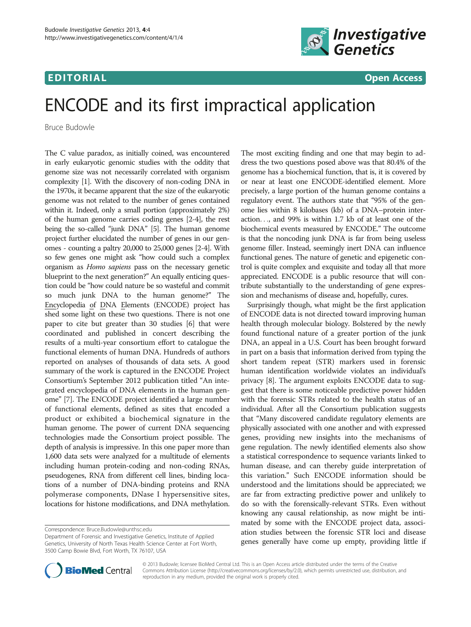## EDITORIAL CONTROL CONTROL CONTROL CONTROL CONTROL CONTROL CONTROL CONTROL CONTROL CONTROL CONTROL CONTROL CONT



# ENCODE and its first impractical application

Bruce Budowle

The C value paradox, as initially coined, was encountered in early eukaryotic genomic studies with the oddity that genome size was not necessarily correlated with organism complexity [\[1\]](#page-1-0). With the discovery of non-coding DNA in the 1970s, it became apparent that the size of the eukaryotic genome was not related to the number of genes contained within it. Indeed, only a small portion (approximately 2%) of the human genome carries coding genes [\[2](#page-1-0)-[4](#page-1-0)], the rest being the so-called "junk DNA" [[5](#page-1-0)]. The human genome project further elucidated the number of genes in our genomes - counting a paltry 20,000 to 25,000 genes [[2](#page-1-0)-[4\]](#page-1-0). With so few genes one might ask "how could such a complex organism as Homo sapiens pass on the necessary genetic blueprint to the next generation?" An equally enticing question could be "how could nature be so wasteful and commit so much junk DNA to the human genome?" The Encyclopedia of DNA Elements (ENCODE) project has shed some light on these two questions. There is not one paper to cite but greater than 30 studies [\[6](#page-1-0)] that were coordinated and published in concert describing the results of a multi-year consortium effort to catalogue the functional elements of human DNA. Hundreds of authors reported on analyses of thousands of data sets. A good summary of the work is captured in the ENCODE Project Consortium's September 2012 publication titled "An integrated encyclopedia of DNA elements in the human genome" [[7](#page-1-0)]. The ENCODE project identified a large number of functional elements, defined as sites that encoded a product or exhibited a biochemical signature in the human genome. The power of current DNA sequencing technologies made the Consortium project possible. The depth of analysis is impressive. In this one paper more than 1,600 data sets were analyzed for a multitude of elements including human protein-coding and non-coding RNAs, pseudogenes, RNA from different cell lines, binding locations of a number of DNA-binding proteins and RNA polymerase components, DNase I hypersensitive sites, locations for histone modifications, and DNA methylation.

The most exciting finding and one that may begin to address the two questions posed above was that 80.4% of the genome has a biochemical function, that is, it is covered by or near at least one ENCODE-identified element. More precisely, a large portion of the human genome contains a regulatory event. The authors state that "95% of the genome lies within 8 kilobases (kb) of a DNA–protein interaction..., and 99% is within 1.7 kb of at least one of the biochemical events measured by ENCODE." The outcome is that the noncoding junk DNA is far from being useless genome filler. Instead, seemingly inert DNA can influence functional genes. The nature of genetic and epigenetic control is quite complex and exquisite and today all that more appreciated. ENCODE is a public resource that will contribute substantially to the understanding of gene expression and mechanisms of disease and, hopefully, cures.

Surprisingly though, what might be the first application of ENCODE data is not directed toward improving human health through molecular biology. Bolstered by the newly found functional nature of a greater portion of the junk DNA, an appeal in a U.S. Court has been brought forward in part on a basis that information derived from typing the short tandem repeat (STR) markers used in forensic human identification worldwide violates an individual's privacy [\[8](#page-1-0)]. The argument exploits ENCODE data to suggest that there is some noticeable predictive power hidden with the forensic STRs related to the health status of an individual. After all the Consortium publication suggests that "Many discovered candidate regulatory elements are physically associated with one another and with expressed genes, providing new insights into the mechanisms of gene regulation. The newly identified elements also show a statistical correspondence to sequence variants linked to human disease, and can thereby guide interpretation of this variation." Such ENCODE information should be understood and the limitations should be appreciated; we are far from extracting predictive power and unlikely to do so with the forensically-relevant STRs. Even without knowing any causal relationship, as now might be intimated by some with the ENCODE project data, association studies between the forensic STR loci and disease genes generally have come up empty, providing little if



© 2013 Budowle; licensee BioMed Central Ltd. This is an Open Access article distributed under the terms of the Creative Commons Attribution License [\(http://creativecommons.org/licenses/by/2.0\)](http://creativecommons.org/licenses/by/2.0), which permits unrestricted use, distribution, and reproduction in any medium, provided the original work is properly cited.

Correspondence: [Bruce.Budowle@unthsc.edu](mailto:Bruce.Budowle@unthsc.edu)

Department of Forensic and Investigative Genetics, Institute of Applied Genetics, University of North Texas Health Science Center at Fort Worth, 3500 Camp Bowie Blvd, Fort Worth, TX 76107, USA